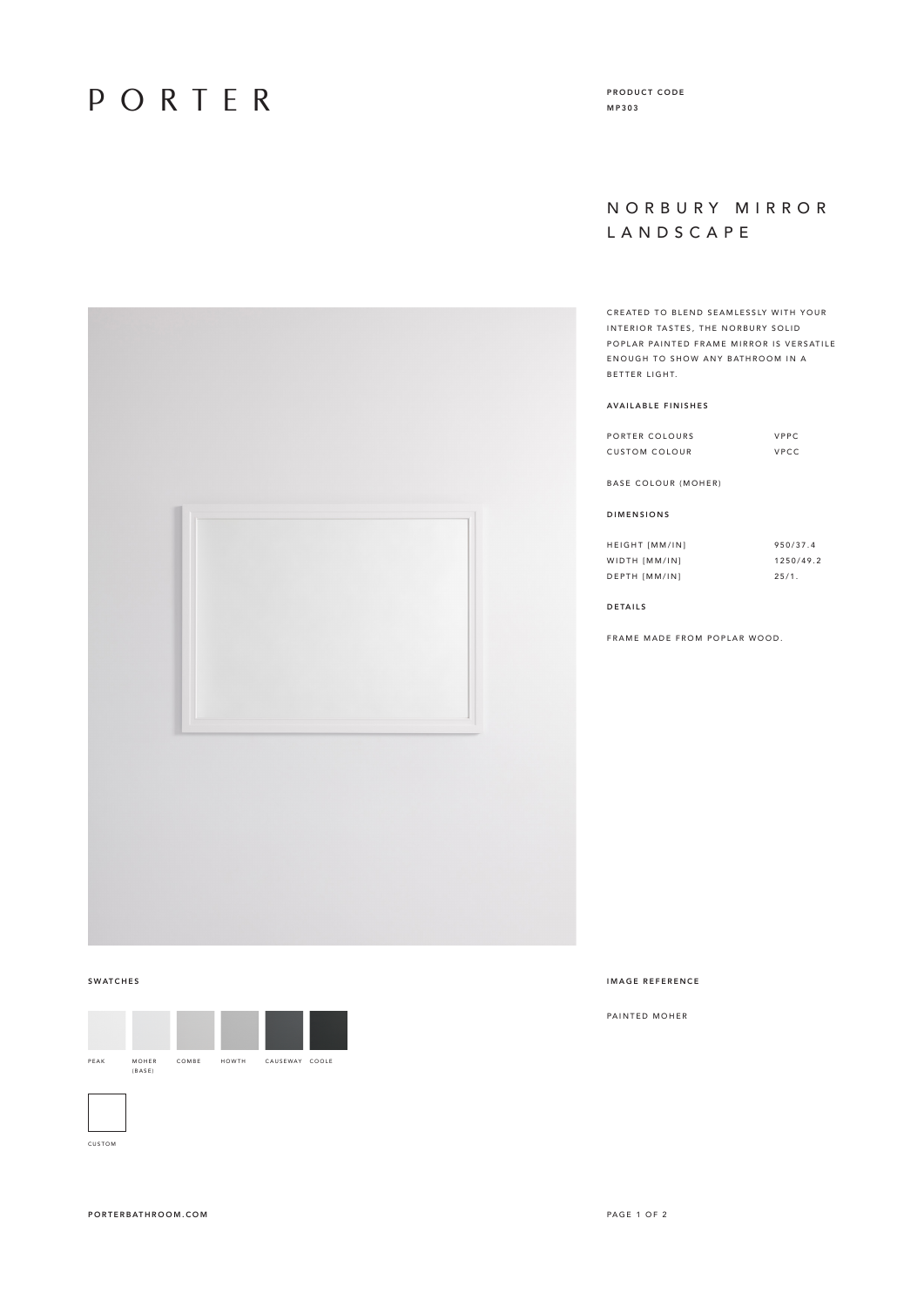# PORTER

PRODUCT CODE MP303

### N O R B U R Y M I R R O R LANDSCAPE

CREATED TO BLEND SEAMLESSLY WITH YOUR INTERIOR TASTES, THE NORBURY SOLID POPLAR PAINTED FRAME MIRROR IS VERSATILE ENOUGH TO SHOW ANY BATHROOM IN A BETTER LIGHT.

#### AVAILABLE FINISHES

| PORTER COLOURS       | VPPC |
|----------------------|------|
| <b>CUSTOM COLOUR</b> | VPCC |

BASE COLOUR (MOHER)

#### DIMENSIONS

| <b>HEIGHT [MM/IN]</b> | 950/37.4  |
|-----------------------|-----------|
| WIDTH [MM/IN]         | 1250/49.2 |
| DEPTH [MM/IN]         | 25/1.     |

DETAILS

FRAME MADE FROM POPLAR WOOD.





CUSTOM

### SWATCHES IMAGE REFERENCE

PAINTED MOHER